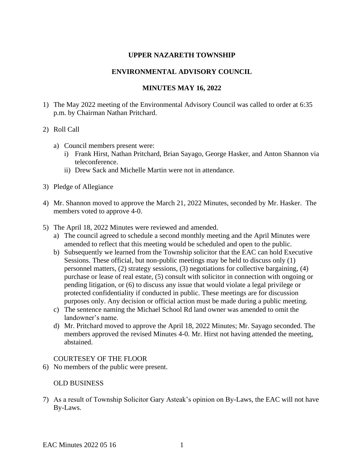### **UPPER NAZARETH TOWNSHIP**

#### **ENVIRONMENTAL ADVISORY COUNCIL**

## **MINUTES MAY 16, 2022**

1) The May 2022 meeting of the Environmental Advisory Council was called to order at 6:35 p.m. by Chairman Nathan Pritchard.

#### 2) Roll Call

- a) Council members present were:
	- i) Frank Hirst, Nathan Pritchard, Brian Sayago, George Hasker, and Anton Shannon via teleconference.
	- ii) Drew Sack and Michelle Martin were not in attendance.
- 3) Pledge of Allegiance
- 4) Mr. Shannon moved to approve the March 21, 2022 Minutes, seconded by Mr. Hasker. The members voted to approve 4-0.
- 5) The April 18, 2022 Minutes were reviewed and amended.
	- a) The council agreed to schedule a second monthly meeting and the April Minutes were amended to reflect that this meeting would be scheduled and open to the public.
	- b) Subsequently we learned from the Township solicitor that the EAC can hold Executive Sessions. These official, but non-public meetings may be held to discuss only (1) personnel matters, (2) strategy sessions, (3) negotiations for collective bargaining, (4) purchase or lease of real estate, (5) consult with solicitor in connection with ongoing or pending litigation, or (6) to discuss any issue that would violate a legal privilege or protected confidentiality if conducted in public. These meetings are for discussion purposes only. Any decision or official action must be made during a public meeting.
	- c) The sentence naming the Michael School Rd land owner was amended to omit the landowner's name.
	- d) Mr. Pritchard moved to approve the April 18, 2022 Minutes; Mr. Sayago seconded. The members approved the revised Minutes 4-0. Mr. Hirst not having attended the meeting, abstained.

### COURTESEY OF THE FLOOR

6) No members of the public were present.

## OLD BUSINESS

7) As a result of Township Solicitor Gary Asteak's opinion on By-Laws, the EAC will not have By-Laws.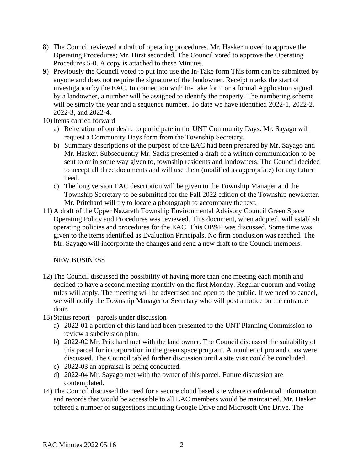- 8) The Council reviewed a draft of operating procedures. Mr. Hasker moved to approve the Operating Procedures; Mr. Hirst seconded. The Council voted to approve the Operating Procedures 5-0. A copy is attached to these Minutes.
- 9) Previously the Council voted to put into use the In-Take form This form can be submitted by anyone and does not require the signature of the landowner. Receipt marks the start of investigation by the EAC. In connection with In-Take form or a formal Application signed by a landowner, a number will be assigned to identify the property. The numbering scheme will be simply the year and a sequence number. To date we have identified 2022-1, 2022-2, 2022-3, and 2022-4.

10) Items carried forward

- a) Reiteration of our desire to participate in the UNT Community Days. Mr. Sayago will request a Community Days form from the Township Secretary.
- b) Summary descriptions of the purpose of the EAC had been prepared by Mr. Sayago and Mr. Hasker. Subsequently Mr. Sacks presented a draft of a written communication to be sent to or in some way given to, township residents and landowners. The Council decided to accept all three documents and will use them (modified as appropriate) for any future need.
- c) The long version EAC description will be given to the Township Manager and the Township Secretary to be submitted for the Fall 2022 edition of the Township newsletter. Mr. Pritchard will try to locate a photograph to accompany the text.
- 11) A draft of the Upper Nazareth Township Environmental Advisory Council Green Space Operating Policy and Procedures was reviewed. This document, when adopted, will establish operating policies and procedures for the EAC. This OP&P was discussed. Some time was given to the items identified as Evaluation Principals. No firm conclusion was reached. The Mr. Sayago will incorporate the changes and send a new draft to the Council members.

NEW BUSINESS

12) The Council discussed the possibility of having more than one meeting each month and decided to have a second meeting monthly on the first Monday. Regular quorum and voting rules will apply. The meeting will be advertised and open to the public. If we need to cancel, we will notify the Township Manager or Secretary who will post a notice on the entrance door.

13) Status report – parcels under discussion

- a) 2022-01 a portion of this land had been presented to the UNT Planning Commission to review a subdivision plan.
- b) 2022-02 Mr. Pritchard met with the land owner. The Council discussed the suitability of this parcel for incorporation in the green space program. A number of pro and cons were discussed. The Council tabled further discussion until a site visit could be concluded.
- c) 2022-03 an appraisal is being conducted.
- d) 2022-04 Mr. Sayago met with the owner of this parcel. Future discussion are contemplated.
- 14) The Council discussed the need for a secure cloud based site where confidential information and records that would be accessible to all EAC members would be maintained. Mr. Hasker offered a number of suggestions including Google Drive and Microsoft One Drive. The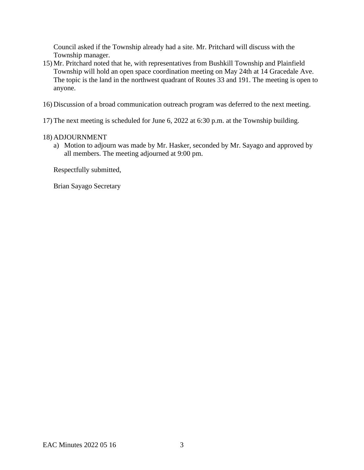Council asked if the Township already had a site. Mr. Pritchard will discuss with the Township manager.

- 15) Mr. Pritchard noted that he, with representatives from Bushkill Township and Plainfield Township will hold an open space coordination meeting on May 24th at 14 Gracedale Ave. The topic is the land in the northwest quadrant of Routes 33 and 191. The meeting is open to anyone.
- 16) Discussion of a broad communication outreach program was deferred to the next meeting.
- 17) The next meeting is scheduled for June 6, 2022 at 6:30 p.m. at the Township building.

### 18) ADJOURNMENT

a) Motion to adjourn was made by Mr. Hasker, seconded by Mr. Sayago and approved by all members. The meeting adjourned at 9:00 pm.

Respectfully submitted,

Brian Sayago Secretary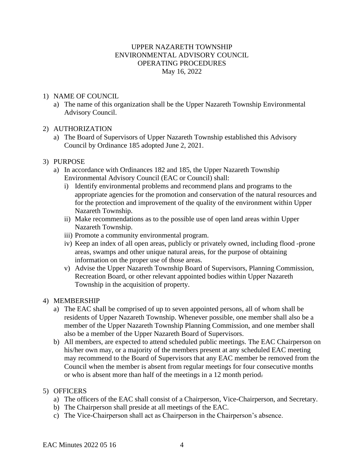# UPPER NAZARETH TOWNSHIP ENVIRONMENTAL ADVISORY COUNCIL OPERATING PROCEDURES May 16, 2022

# 1) NAME OF COUNCIL

- a) The name of this organization shall be the Upper Nazareth Township Environmental Advisory Council.
- 2) AUTHORIZATION
	- a) The Board of Supervisors of Upper Nazareth Township established this Advisory Council by Ordinance 185 adopted June 2, 2021.

### 3) PURPOSE

- a) In accordance with Ordinances 182 and 185, the Upper Nazareth Township Environmental Advisory Council (EAC or Council) shall:
	- i) Identify environmental problems and recommend plans and programs to the appropriate agencies for the promotion and conservation of the natural resources and for the protection and improvement of the quality of the environment within Upper Nazareth Township.
	- ii) Make recommendations as to the possible use of open land areas within Upper Nazareth Township.
	- iii) Promote a community environmental program.
	- iv) Keep an index of all open areas, publicly or privately owned, including flood -prone areas, swamps and other unique natural areas, for the purpose of obtaining information on the proper use of those areas.
	- v) Advise the Upper Nazareth Township Board of Supervisors, Planning Commission, Recreation Board, or other relevant appointed bodies within Upper Nazareth Township in the acquisition of property.

### 4) MEMBERSHIP

- a) The EAC shall be comprised of up to seven appointed persons, all of whom shall be residents of Upper Nazareth Township. Whenever possible, one member shall also be a member of the Upper Nazareth Township Planning Commission, and one member shall also be a member of the Upper Nazareth Board of Supervisors.
- b) All members, are expected to attend scheduled public meetings. The EAC Chairperson on his/her own may, or a majority of the members present at any scheduled EAC meeting may recommend to the Board of Supervisors that any EAC member be removed from the Council when the member is absent from regular meetings for four consecutive months or who is absent more than half of the meetings in a 12 month period.

### 5) OFFICERS

- a) The officers of the EAC shall consist of a Chairperson, Vice-Chairperson, and Secretary.
- b) The Chairperson shall preside at all meetings of the EAC.
- c) The Vice-Chairperson shall act as Chairperson in the Chairperson's absence.